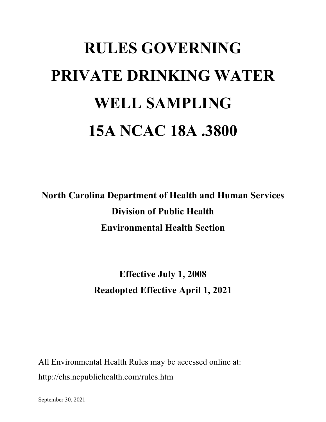# **RULES GOVERNING PRIVATE DRINKING WATER WELL SAMPLING 15A NCAC 18A .3800**

**North Carolina Department of Health and Human Services Division of Public Health Environmental Health Section**

> **Effective July 1, 2008 Readopted Effective April 1, 2021**

All Environmental Health Rules may be accessed online at: http://ehs.ncpublichealth.com/rules.htm

September 30, 2021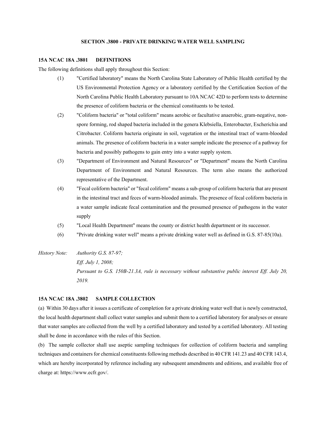## **SECTION .3800 - PRIVATE DRINKING WATER WELL SAMPLING**

#### **15A NCAC 18A .3801 DEFINITIONS**

The following definitions shall apply throughout this Section:

- (1) "Certified laboratory" means the North Carolina State Laboratory of Public Health certified by the US Environmental Protection Agency or a laboratory certified by the Certification Section of the North Carolina Public Health Laboratory pursuant to 10A NCAC 42D to perform tests to determine the presence of coliform bacteria or the chemical constituents to be tested.
- (2) "Coliform bacteria" or "total coliform" means aerobic or facultative anaerobic, gram-negative, nonspore forming, rod shaped bacteria included in the genera Klebsiella, Enterobacter, Escherichia and Citrobacter. Coliform bacteria originate in soil, vegetation or the intestinal tract of warm-blooded animals. The presence of coliform bacteria in a water sample indicate the presence of a pathway for bacteria and possibly pathogens to gain entry into a water supply system.
- (3) "Department of Environment and Natural Resources" or "Department" means the North Carolina Department of Environment and Natural Resources. The term also means the authorized representative of the Department.
- (4) "Fecal coliform bacteria" or "fecal coliform" means a sub-group of coliform bacteria that are present in the intestinal tract and feces of warm-blooded animals. The presence of fecal coliform bacteria in a water sample indicate fecal contamination and the presumed presence of pathogens in the water supply
- (5) "Local Health Department" means the county or district health department or its successor.
- (6) "Private drinking water well" means a private drinking water well as defined in G.S. 87-85(10a).
- *History Note: Authority G.S. 87-97; Eff. July 1, 2008; Pursuant to G.S. 150B-21.3A, rule is necessary without substantive public interest Eff. July 20, 2019.*

### **15A NCAC 18A .3802 SAMPLE COLLECTION**

(a) Within 30 days after it issues a certificate of completion for a private drinking water well that is newly constructed, the local health department shall collect water samples and submit them to a certified laboratory for analyses or ensure that water samples are collected from the well by a certified laboratory and tested by a certified laboratory. All testing shall be done in accordance with the rules of this Section.

(b) The sample collector shall use aseptic sampling techniques for collection of coliform bacteria and sampling techniques and containers for chemical constituents following methods described in 40 CFR 141.23 and 40 CFR 143.4, which are hereby incorporated by reference including any subsequent amendments and editions, and available free of charge at: https://www.ecfr.gov/.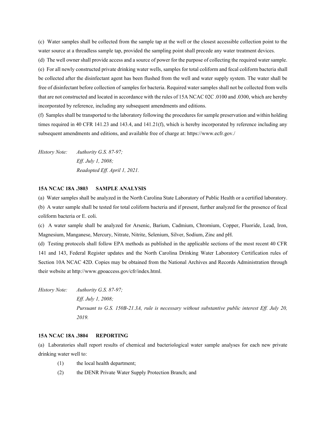(c) Water samples shall be collected from the sample tap at the well or the closest accessible collection point to the water source at a threadless sample tap, provided the sampling point shall precede any water treatment devices.

(d) The well owner shall provide access and a source of power for the purpose of collecting the required water sample. (e) For all newly constructed private drinking water wells, samples for total coliform and fecal coliform bacteria shall be collected after the disinfectant agent has been flushed from the well and water supply system. The water shall be free of disinfectant before collection of samples for bacteria. Required water samples shall not be collected from wells that are not constructed and located in accordance with the rules of 15A NCAC 02C .0100 and .0300, which are hereby incorporated by reference, including any subsequent amendments and editions.

(f) Samples shall be transported to the laboratory following the procedures for sample preservation and within holding times required in 40 CFR 141.23 and 143.4, and 141.21(f), which is hereby incorporated by reference including any subsequent amendments and editions, and available free of charge at: https://www.ecfr.gov./

*History Note: Authority G.S. 87-97; Eff. July 1, 2008; Readopted Eff. April 1, 2021.*

#### **15A NCAC 18A .3803 SAMPLE ANALYSIS**

(a) Water samples shall be analyzed in the North Carolina State Laboratory of Public Health or a certified laboratory.

(b) A water sample shall be tested for total coliform bacteria and if present, further analyzed for the presence of fecal coliform bacteria or E. coli.

(c) A water sample shall be analyzed for Arsenic, Barium, Cadmium, Chromium, Copper, Fluoride, Lead, Iron, Magnesium, Manganese, Mercury, Nitrate, Nitrite, Selenium, Silver, Sodium, Zinc and pH.

(d) Testing protocols shall follow EPA methods as published in the applicable sections of the most recent 40 CFR 141 and 143, Federal Register updates and the North Carolina Drinking Water Laboratory Certification rules of Section 10A NCAC 42D. Copies may be obtained from the National Archives and Records Administration through their website at http://www.gpoaccess.gov/cfr/index.html.

*History Note: Authority G.S. 87-97; Eff. July 1, 2008; Pursuant to G.S. 150B-21.3A, rule is necessary without substantive public interest Eff. July 20, 2019.*

## **15A NCAC 18A .3804 REPORTING**

(a) Laboratories shall report results of chemical and bacteriological water sample analyses for each new private drinking water well to:

- (1) the local health department;
- (2) the DENR Private Water Supply Protection Branch; and